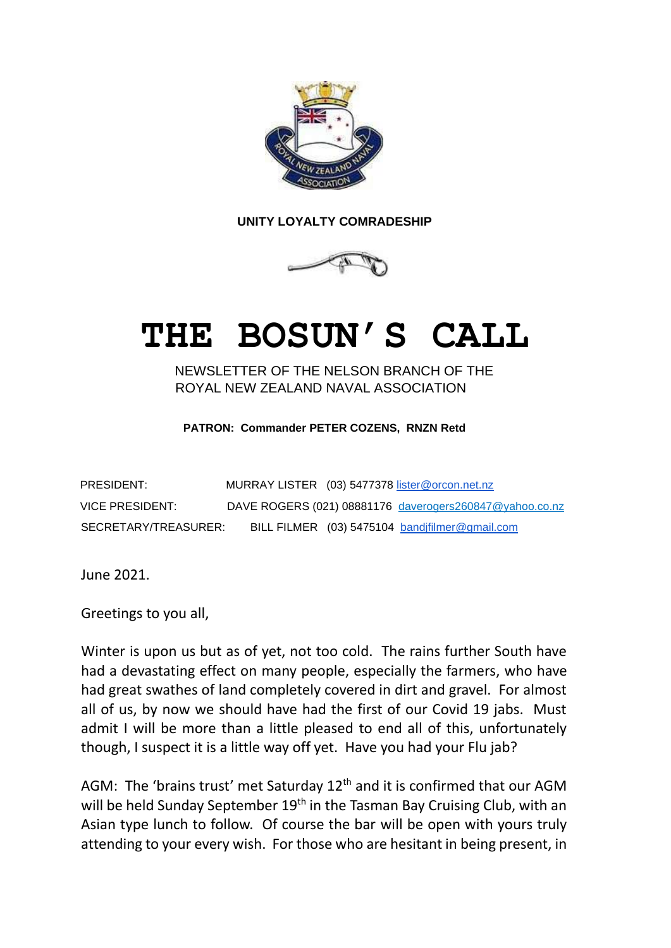

## **UNITY LOYALTY COMRADESHIP**



## **THE BOSUN'S CALL**

NEWSLETTER OF THE NELSON BRANCH OF THE ROYAL NEW ZEALAND NAVAL ASSOCIATION

**PATRON: Commander PETER COZENS, RNZN Retd**

| PRESIDENT:           | MURRAY LISTER (03) 5477378 lister@orcon.net.nz |                                                         |
|----------------------|------------------------------------------------|---------------------------------------------------------|
| VICE PRESIDENT:      |                                                | DAVE ROGERS (021) 08881176 daverogers260847@yahoo.co.nz |
| SECRETARY/TREASURER: | BILL FILMER (03) 5475104 bandifilmer@gmail.com |                                                         |

June 2021.

Greetings to you all,

Winter is upon us but as of yet, not too cold. The rains further South have had a devastating effect on many people, especially the farmers, who have had great swathes of land completely covered in dirt and gravel. For almost all of us, by now we should have had the first of our Covid 19 jabs. Must admit I will be more than a little pleased to end all of this, unfortunately though, I suspect it is a little way off yet. Have you had your Flu jab?

AGM: The 'brains trust' met Saturday  $12<sup>th</sup>$  and it is confirmed that our AGM will be held Sunday September 19<sup>th</sup> in the Tasman Bay Cruising Club, with an Asian type lunch to follow. Of course the bar will be open with yours truly attending to your every wish. For those who are hesitant in being present, in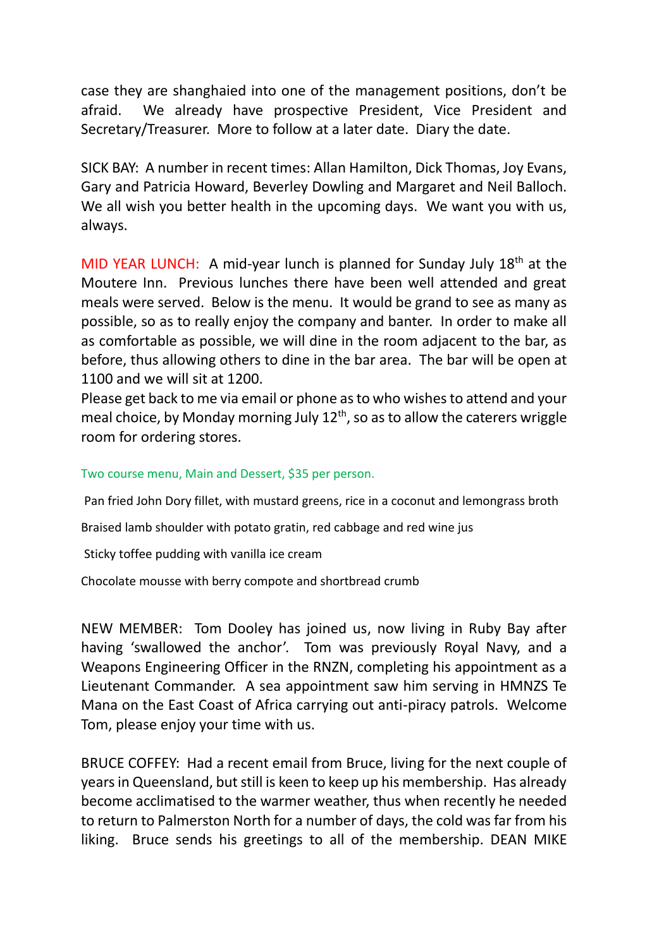case they are shanghaied into one of the management positions, don't be afraid. We already have prospective President, Vice President and Secretary/Treasurer. More to follow at a later date. Diary the date.

SICK BAY: A number in recent times: Allan Hamilton, Dick Thomas, Joy Evans, Gary and Patricia Howard, Beverley Dowling and Margaret and Neil Balloch. We all wish you better health in the upcoming days. We want you with us, always.

MID YEAR LUNCH: A mid-year lunch is planned for Sunday July  $18<sup>th</sup>$  at the Moutere Inn. Previous lunches there have been well attended and great meals were served. Below is the menu. It would be grand to see as many as possible, so as to really enjoy the company and banter. In order to make all as comfortable as possible, we will dine in the room adjacent to the bar, as before, thus allowing others to dine in the bar area. The bar will be open at 1100 and we will sit at 1200.

Please get back to me via email or phone as to who wishes to attend and your meal choice, by Monday morning July  $12<sup>th</sup>$ , so as to allow the caterers wriggle room for ordering stores.

## Two course menu, Main and Dessert, \$35 per person.

Pan fried John Dory fillet, with mustard greens, rice in a coconut and lemongrass broth

Braised lamb shoulder with potato gratin, red cabbage and red wine jus

Sticky toffee pudding with vanilla ice cream

Chocolate mousse with berry compote and shortbread crumb

NEW MEMBER: Tom Dooley has joined us, now living in Ruby Bay after having 'swallowed the anchor'. Tom was previously Royal Navy, and a Weapons Engineering Officer in the RNZN, completing his appointment as a Lieutenant Commander. A sea appointment saw him serving in HMNZS Te Mana on the East Coast of Africa carrying out anti-piracy patrols. Welcome Tom, please enjoy your time with us.

BRUCE COFFEY: Had a recent email from Bruce, living for the next couple of years in Queensland, but still is keen to keep up his membership. Has already become acclimatised to the warmer weather, thus when recently he needed to return to Palmerston North for a number of days, the cold was far from his liking. Bruce sends his greetings to all of the membership. DEAN MIKE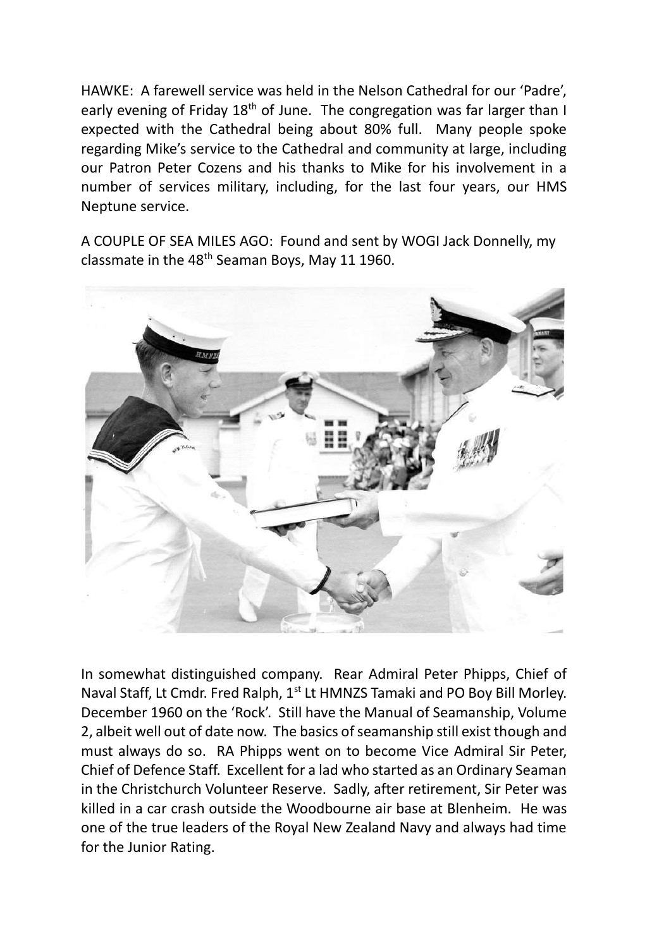HAWKE: A farewell service was held in the Nelson Cathedral for our 'Padre', early evening of Friday 18<sup>th</sup> of June. The congregation was far larger than I expected with the Cathedral being about 80% full. Many people spoke regarding Mike's service to the Cathedral and community at large, including our Patron Peter Cozens and his thanks to Mike for his involvement in a number of services military, including, for the last four years, our HMS Neptune service.

A COUPLE OF SEA MILES AGO: Found and sent by WOGI Jack Donnelly, my classmate in the 48<sup>th</sup> Seaman Boys, May 11 1960.



In somewhat distinguished company. Rear Admiral Peter Phipps, Chief of Naval Staff, Lt Cmdr. Fred Ralph, 1<sup>st</sup> Lt HMNZS Tamaki and PO Boy Bill Morley. December 1960 on the 'Rock'. Still have the Manual of Seamanship, Volume 2, albeit well out of date now. The basics of seamanship still exist though and must always do so. RA Phipps went on to become Vice Admiral Sir Peter, Chief of Defence Staff. Excellent for a lad who started as an Ordinary Seaman in the Christchurch Volunteer Reserve. Sadly, after retirement, Sir Peter was killed in a car crash outside the Woodbourne air base at Blenheim. He was one of the true leaders of the Royal New Zealand Navy and always had time for the Junior Rating.